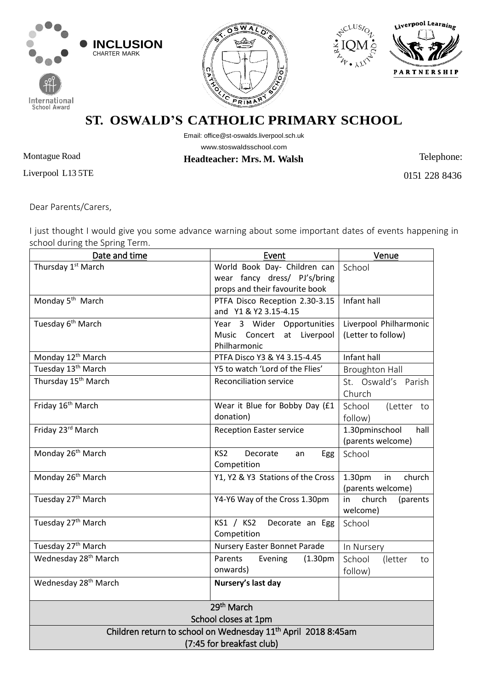







**ST. OSWALD'S CATHOLIC PRIMARY SCHOOL**

Email: [office@st-oswalds.liverpool.sch.uk](mailto:office@st-oswalds.liverpool.sch.uk)  [www.stoswaldsschool.com](http://www.stoswaldsschool.com/)

**Headteacher: Mrs. M. Walsh** Telephone:

Montague Road Liverpool L13 5TE

0151 228 8436

Dear Parents/Carers,

I just thought I would give you some advance warning about some important dates of events happening in school during the Spring Term.

| Date and time                                                             | Event                                       | Venue                   |
|---------------------------------------------------------------------------|---------------------------------------------|-------------------------|
| Thursday 1 <sup>st</sup> March                                            | World Book Day- Children can                | School                  |
|                                                                           | wear fancy dress/ PJ's/bring                |                         |
|                                                                           | props and their favourite book              |                         |
| Monday 5 <sup>th</sup> March                                              | PTFA Disco Reception 2.30-3.15              | Infant hall             |
|                                                                           | and Y1 & Y2 3.15-4.15                       |                         |
| Tuesday 6 <sup>th</sup> March                                             | Year 3 Wider Opportunities                  | Liverpool Philharmonic  |
|                                                                           | Music Concert at Liverpool                  | (Letter to follow)      |
|                                                                           | Philharmonic                                |                         |
| Monday 12 <sup>th</sup> March                                             | PTFA Disco Y3 & Y4 3.15-4.45                | Infant hall             |
| Tuesday 13 <sup>th</sup> March                                            | Y5 to watch 'Lord of the Flies'             | <b>Broughton Hall</b>   |
| Thursday 15 <sup>th</sup> March                                           | <b>Reconciliation service</b>               | St. Oswald's Parish     |
|                                                                           |                                             | Church                  |
| Friday 16 <sup>th</sup> March                                             | Wear it Blue for Bobby Day (£1              | School<br>(Letter to    |
|                                                                           | donation)                                   | follow)                 |
| Friday 23rd March                                                         | <b>Reception Easter service</b>             | 1.30pminschool<br>hall  |
|                                                                           |                                             | (parents welcome)       |
| Monday 26 <sup>th</sup> March                                             | KS <sub>2</sub><br>Decorate<br>Egg<br>an    | School                  |
|                                                                           | Competition                                 |                         |
| Monday 26 <sup>th</sup> March                                             | Y1, Y2 & Y3 Stations of the Cross           | 1.30pm<br>in<br>church  |
|                                                                           |                                             | (parents welcome)       |
| Tuesday 27 <sup>th</sup> March                                            | Y4-Y6 Way of the Cross 1.30pm               | in church<br>(parents   |
|                                                                           |                                             | welcome)                |
| Tuesday 27 <sup>th</sup> March                                            | KS1 / KS2<br>Decorate an Egg                | School                  |
|                                                                           | Competition                                 |                         |
| Tuesday 27 <sup>th</sup> March                                            | Nursery Easter Bonnet Parade                | In Nursery              |
| Wednesday 28 <sup>th</sup> March                                          | Parents<br>Evening<br>(1.30 <sub>pm</sub> ) | School<br>(letter<br>to |
|                                                                           | onwards)                                    | follow)                 |
| Wednesday 28 <sup>th</sup> March                                          | Nursery's last day                          |                         |
|                                                                           |                                             |                         |
| 29 <sup>th</sup> March                                                    |                                             |                         |
| School closes at 1pm                                                      |                                             |                         |
| Children return to school on Wednesday 11 <sup>th</sup> April 2018 8:45am |                                             |                         |
| (7:45 for breakfast club)                                                 |                                             |                         |
|                                                                           |                                             |                         |